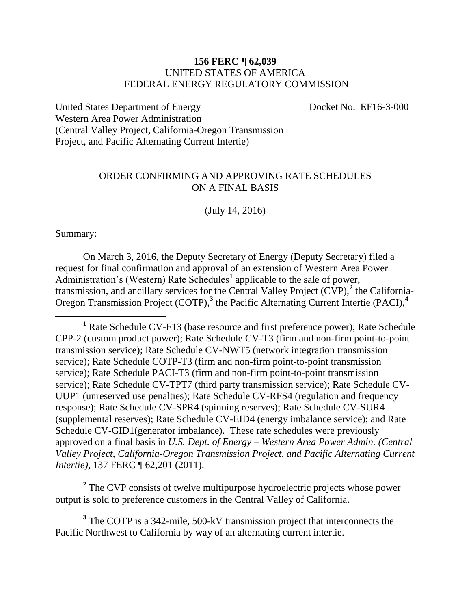### **156 FERC ¶ 62,039** UNITED STATES OF AMERICA FEDERAL ENERGY REGULATORY COMMISSION

United States Department of Energy Docket No. EF16-3-000 Western Area Power Administration (Central Valley Project, California-Oregon Transmission Project, and Pacific Alternating Current Intertie)

## ORDER CONFIRMING AND APPROVING RATE SCHEDULES ON A FINAL BASIS

(July 14, 2016)

### Summary:

 $\overline{a}$ 

On March 3, 2016, the Deputy Secretary of Energy (Deputy Secretary) filed a request for final confirmation and approval of an extension of Western Area Power Administration's (Western) Rate Schedules<sup>1</sup> applicable to the sale of power, transmission, and ancillary services for the Central Valley Project  $(\hat{CVP})$ , the California-Oregon Transmission Project (COTP),**<sup>3</sup>** the Pacific Alternating Current Intertie (PACI),**<sup>4</sup>**

<sup>2</sup> The CVP consists of twelve multipurpose hydroelectric projects whose power output is sold to preference customers in the Central Valley of California.

<sup>3</sup> The COTP is a 342-mile, 500-kV transmission project that interconnects the Pacific Northwest to California by way of an alternating current intertie.

**<sup>1</sup>** Rate Schedule CV-F13 (base resource and first preference power); Rate Schedule CPP-2 (custom product power); Rate Schedule CV-T3 (firm and non-firm point-to-point transmission service); Rate Schedule CV-NWT5 (network integration transmission service); Rate Schedule COTP-T3 (firm and non-firm point-to-point transmission service); Rate Schedule PACI-T3 (firm and non-firm point-to-point transmission service); Rate Schedule CV-TPT7 (third party transmission service); Rate Schedule CV-UUP1 (unreserved use penalties); Rate Schedule CV-RFS4 (regulation and frequency response); Rate Schedule CV-SPR4 (spinning reserves); Rate Schedule CV-SUR4 (supplemental reserves); Rate Schedule CV-EID4 (energy imbalance service); and Rate Schedule CV-GID1(generator imbalance). These rate schedules were previously approved on a final basis in *U.S. Dept. of Energy – Western Area Power Admin. (Central Valley Project, California-Oregon Transmission Project, and Pacific Alternating Current Intertie*), 137 FERC ¶ 62,201 (2011).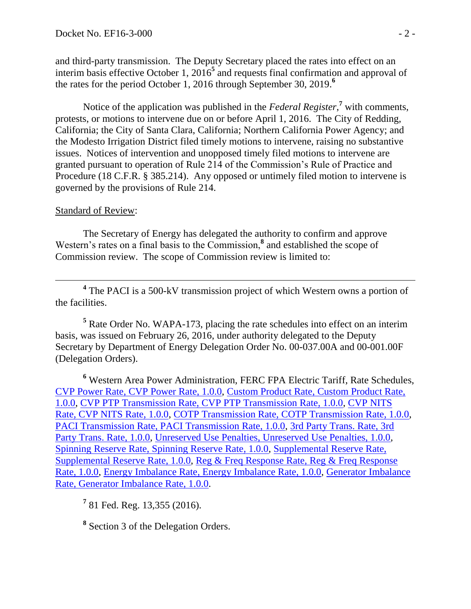and third-party transmission. The Deputy Secretary placed the rates into effect on an interim basis effective October 1, 2016 **5** and requests final confirmation and approval of the rates for the period October 1, 2016 through September 30, 2019. **6**

Notice of the application was published in the *Federal Register*,<sup>7</sup> with comments, protests, or motions to intervene due on or before April 1, 2016. The City of Redding, California; the City of Santa Clara, California; Northern California Power Agency; and the Modesto Irrigation District filed timely motions to intervene, raising no substantive issues. Notices of intervention and unopposed timely filed motions to intervene are granted pursuant to operation of Rule 214 of the Commission's Rule of Practice and Procedure (18 C.F.R. § 385.214). Any opposed or untimely filed motion to intervene is governed by the provisions of Rule 214.

## Standard of Review:

 $\overline{a}$ 

The Secretary of Energy has delegated the authority to confirm and approve Western's rates on a final basis to the Commission,<sup>8</sup> and established the scope of Commission review. The scope of Commission review is limited to:

<sup>4</sup> The PACI is a 500-kV transmission project of which Western owns a portion of the facilities.

**<sup>5</sup>** Rate Order No. WAPA-173, placing the rate schedules into effect on an interim basis, was issued on February 26, 2016, under authority delegated to the Deputy Secretary by Department of Energy Delegation Order No. 00-037.00A and 00-001.00F (Delegation Orders).

**<sup>6</sup>** Western Area Power Administration, FERC FPA Electric Tariff, Rate Schedules, [CVP Power Rate, CVP Power Rate, 1.0.0,](http://etariff.ferc.gov/TariffSectionDetails.aspx?tid=2806&sid=195324) [Custom Product Rate, Custom Product Rate,](http://etariff.ferc.gov/TariffSectionDetails.aspx?tid=2806&sid=195323)  [1.0.0,](http://etariff.ferc.gov/TariffSectionDetails.aspx?tid=2806&sid=195323) [CVP PTP Transmission Rate, CVP PTP Transmission Rate, 1.0.0,](http://etariff.ferc.gov/TariffSectionDetails.aspx?tid=2806&sid=195326) [CVP NITS](http://etariff.ferc.gov/TariffSectionDetails.aspx?tid=2806&sid=195333)  [Rate, CVP NITS Rate, 1.0.0,](http://etariff.ferc.gov/TariffSectionDetails.aspx?tid=2806&sid=195333) [COTP Transmission Rate, COTP Transmission Rate, 1.0.0,](http://etariff.ferc.gov/TariffSectionDetails.aspx?tid=2806&sid=195332) [PACI Transmission Rate, PACI Transmission Rate, 1.0.0,](http://etariff.ferc.gov/TariffSectionDetails.aspx?tid=2806&sid=195335) [3rd Party Trans. Rate, 3rd](http://etariff.ferc.gov/TariffSectionDetails.aspx?tid=2806&sid=195334)  [Party Trans. Rate, 1.0.0,](http://etariff.ferc.gov/TariffSectionDetails.aspx?tid=2806&sid=195334) [Unreserved Use Penalties, Unreserved Use Penalties, 1.0.0,](http://etariff.ferc.gov/TariffSectionDetails.aspx?tid=2806&sid=195331) [Spinning Reserve Rate, Spinning Reserve Rate, 1.0.0,](http://etariff.ferc.gov/TariffSectionDetails.aspx?tid=2806&sid=195328) [Supplemental Reserve Rate,](http://etariff.ferc.gov/TariffSectionDetails.aspx?tid=2806&sid=195327)  [Supplemental Reserve Rate, 1.0.0,](http://etariff.ferc.gov/TariffSectionDetails.aspx?tid=2806&sid=195327) [Reg & Freq Response Rate, Reg & Freq Response](http://etariff.ferc.gov/TariffSectionDetails.aspx?tid=2806&sid=195330)  [Rate, 1.0.0,](http://etariff.ferc.gov/TariffSectionDetails.aspx?tid=2806&sid=195330) Energy [Imbalance Rate, Energy Imbalance Rate, 1.0.0,](http://etariff.ferc.gov/TariffSectionDetails.aspx?tid=2806&sid=195329) [Generator Imbalance](http://etariff.ferc.gov/TariffSectionDetails.aspx?tid=2806&sid=195325)  [Rate, Generator Imbalance Rate, 1.0.0.](http://etariff.ferc.gov/TariffSectionDetails.aspx?tid=2806&sid=195325)

**7** 81 Fed. Reg. 13,355 (2016).

**8** Section 3 of the Delegation Orders.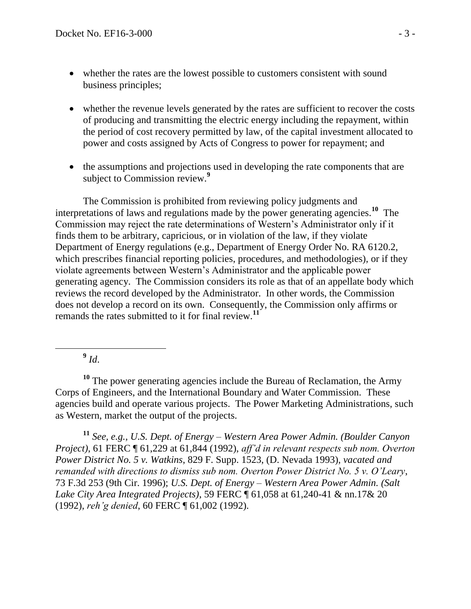- whether the rates are the lowest possible to customers consistent with sound business principles;
- whether the revenue levels generated by the rates are sufficient to recover the costs of producing and transmitting the electric energy including the repayment, within the period of cost recovery permitted by law, of the capital investment allocated to power and costs assigned by Acts of Congress to power for repayment; and
- the assumptions and projections used in developing the rate components that are subject to Commission review.**<sup>9</sup>**

The Commission is prohibited from reviewing policy judgments and interpretations of laws and regulations made by the power generating agencies.**<sup>10</sup>** The Commission may reject the rate determinations of Western's Administrator only if it finds them to be arbitrary, capricious, or in violation of the law, if they violate Department of Energy regulations (e.g., Department of Energy Order No. RA 6120.2, which prescribes financial reporting policies, procedures, and methodologies), or if they violate agreements between Western's Administrator and the applicable power generating agency. The Commission considers its role as that of an appellate body which reviews the record developed by the Administrator. In other words, the Commission does not develop a record on its own. Consequently, the Commission only affirms or remands the rates submitted to it for final review.**<sup>11</sup>**

**9** *Id*.

**<sup>10</sup>** The power generating agencies include the Bureau of Reclamation, the Army Corps of Engineers, and the International Boundary and Water Commission. These agencies build and operate various projects. The Power Marketing Administrations, such as Western, market the output of the projects.

**<sup>11</sup>** *See, e.g., U.S. Dept. of Energy – Western Area Power Admin. (Boulder Canyon Project)*, 61 FERC ¶ 61,229 at 61,844 (1992), *aff'd in relevant respects sub nom. Overton Power District No. 5 v. Watkins*, 829 F. Supp. 1523, (D. Nevada 1993), *vacated and remanded with directions to dismiss sub nom. Overton Power District No. 5 v. O'Leary*, 73 F.3d 253 (9th Cir. 1996); *U.S. Dept. of Energy – Western Area Power Admin. (Salt Lake City Area Integrated Projects)*, 59 FERC ¶ 61,058 at 61,240-41 & nn.17& 20 (1992), *reh'g denied*, 60 FERC ¶ 61,002 (1992).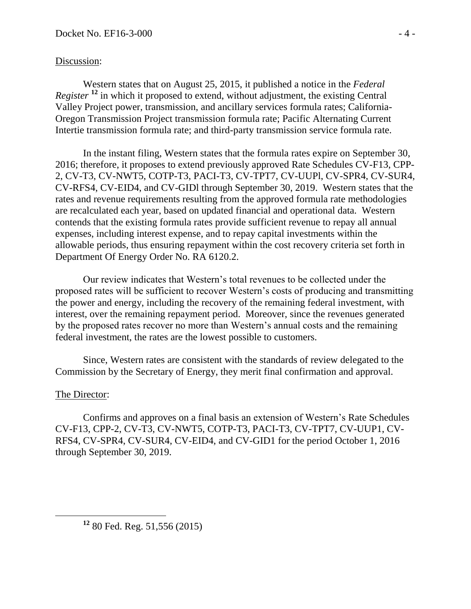# Discussion:

Western states that on August 25, 2015, it published a notice in the *Federal Register* <sup>12</sup> in which it proposed to extend, without adjustment, the existing Central Valley Project power, transmission, and ancillary services formula rates; California-Oregon Transmission Project transmission formula rate; Pacific Alternating Current Intertie transmission formula rate; and third-party transmission service formula rate.

In the instant filing, Western states that the formula rates expire on September 30, 2016; therefore, it proposes to extend previously approved Rate Schedules CV-F13, CPP-2, CV-T3, CV-NWT5, COTP-T3, PACI-T3, CV-TPT7, CV-UUPl, CV-SPR4, CV-SUR4, CV-RFS4, CV-EID4, and CV-GIDl through September 30, 2019. Western states that the rates and revenue requirements resulting from the approved formula rate methodologies are recalculated each year, based on updated financial and operational data. Western contends that the existing formula rates provide sufficient revenue to repay all annual expenses, including interest expense, and to repay capital investments within the allowable periods, thus ensuring repayment within the cost recovery criteria set forth in Department Of Energy Order No. RA 6120.2.

Our review indicates that Western's total revenues to be collected under the proposed rates will be sufficient to recover Western's costs of producing and transmitting the power and energy, including the recovery of the remaining federal investment, with interest, over the remaining repayment period. Moreover, since the revenues generated by the proposed rates recover no more than Western's annual costs and the remaining federal investment, the rates are the lowest possible to customers.

Since, Western rates are consistent with the standards of review delegated to the Commission by the Secretary of Energy, they merit final confirmation and approval.

# The Director:

Confirms and approves on a final basis an extension of Western's Rate Schedules CV-F13, CPP-2, CV-T3, CV-NWT5, COTP-T3, PACI-T3, CV-TPT7, CV-UUP1, CV-RFS4, CV-SPR4, CV-SUR4, CV-EID4, and CV-GID1 for the period October 1, 2016 through September 30, 2019.

**<sup>12</sup>** 80 Fed. Reg. 51,556 (2015)